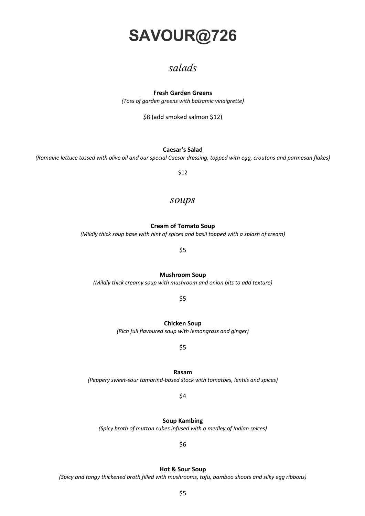# **SAVOUR@726**

## *salads*

### **Fresh Garden Greens**

*(Toss of garden greens with balsamic vinaigrette)*

\$8 (add smoked salmon \$12)

### **Caesar's Salad**

*(Romaine lettuce tossed with olive oil and our special Caesar dressing, topped with egg, croutons and parmesan flakes)*

\$12

### *soups*

### **Cream of Tomato Soup**

*(Mildly thick soup base with hint of spices and basil topped with a splash of cream)*

\$5

**Mushroom Soup**

*(Mildly thick creamy soup with mushroom and onion bits to add texture)*

\$5

**Chicken Soup**

*(Rich full flavoured soup with lemongrass and ginger)*

\$5

**Rasam** *(Peppery sweet-sour tamarind-based stock with tomatoes, lentils and spices)*

\$4

**Soup Kambing**

*(Spicy broth of mutton cubes infused with a medley of Indian spices)*

\$6

### **Hot & Sour Soup**

*(Spicy and tangy thickened broth filled with mushrooms, tofu, bamboo shoots and silky egg ribbons)*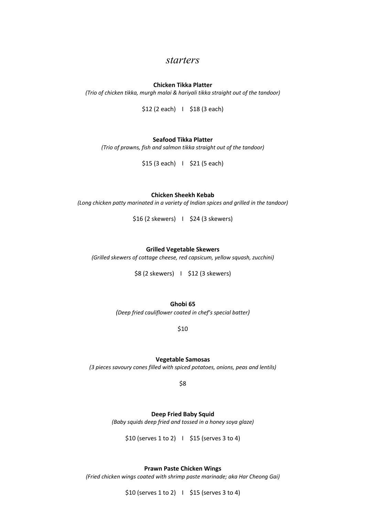### *starters*

### **Chicken Tikka Platter**

*(Trio of chicken tikka, murgh malai & hariyali tikka straight out of the tandoor)*

\$12 (2 each) | \$18 (3 each)

### **Seafood Tikka Platter**

*(Trio of prawns, fish and salmon tikka straight out of the tandoor)*

\$15 (3 each) I \$21 (5 each)

**Chicken Sheekh Kebab**

*(Long chicken patty marinated in a variety of Indian spices and grilled in the tandoor)*

\$16 (2 skewers) I \$24 (3 skewers)

### **Grilled Vegetable Skewers**

*(Grilled skewers of cottage cheese, red capsicum, yellow squash, zucchini)*

\$8 (2 skewers) I \$12 (3 skewers)

**Ghobi 65**

*(Deep fried cauliflower coated in chef's special batter)*

\$10

**Vegetable Samosas**

*(3 pieces savoury cones filled with spiced potatoes, onions, peas and lentils)*

\$8

**Deep Fried Baby Squid**

*(Baby squids deep fried and tossed in a honey soya glaze)*

 $$10$  (serves  $1$  to  $2$ )  $\mid$   $$15$  (serves  $3$  to  $4$ )

**Prawn Paste Chicken Wings**

*(Fried chicken wings coated with shrimp paste marinade; aka Har Cheong Gai)*

 $$10$  (serves 1 to 2) |  $$15$  (serves 3 to 4)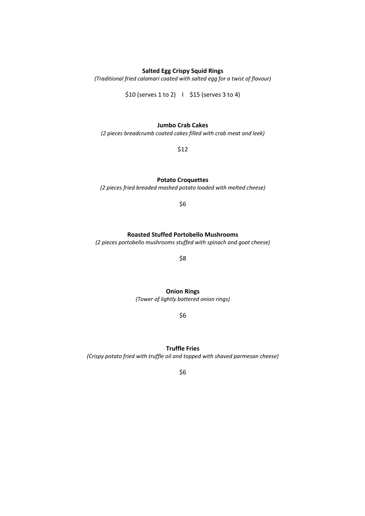### **Salted Egg Crispy Squid Rings**

*(Traditional fried calamari coated with salted egg for a twist of flavour)*

\$10 (serves 1 to 2) I \$15 (serves 3 to 4)

### **Jumbo Crab Cakes**

*(2 pieces breadcrumb coated cakes filled with crab meat and leek)*

\$12

### **Potato Croquettes**

*(2 pieces fried breaded mashed potato loaded with melted cheese)*

\$6

### **Roasted Stuffed Portobello Mushrooms**

*(2 pieces portobello mushrooms stuffed with spinach and goat cheese)*

\$8

**Onion Rings**

*(Tower of lightly battered onion rings)*

\$6

### **Truffle Fries**

*(Crispy potato fried with truffle oil and topped with shaved parmesan cheese)*

\$6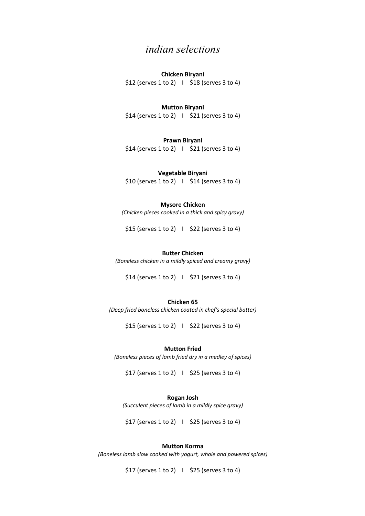## *indian selections*

### **Chicken Biryani**

 $$12$  (serves 1 to 2) |  $$18$  (serves 3 to 4)

### **Mutton Biryani**

 $$14$  (serves 1 to 2)  $\mid$  \$21 (serves 3 to 4)

### **Prawn Biryani**

\$14 (serves 1 to 2) I \$21 (serves 3 to 4)

### **Vegetable Biryani**

 $$10$  (serves 1 to 2) |  $$14$  (serves 3 to 4)

### **Mysore Chicken**

*(Chicken pieces cooked in a thick and spicy gravy)*

 $$15$  (serves 1 to 2) |  $$22$  (serves 3 to 4)

### **Butter Chicken**

*(Boneless chicken in a mildly spiced and creamy gravy)*

 $$14$  (serves 1 to 2) |  $$21$  (serves 3 to 4)

### **Chicken 65**

*(Deep fried boneless chicken coated in chef's special batter)*

 $$15$  (serves 1 to 2) |  $$22$  (serves 3 to 4)

### **Mutton Fried**

*(Boneless pieces of lamb fried dry in a medley of spices)*

 $$17$  (serves 1 to 2) |  $$25$  (serves 3 to 4)

### **Rogan Josh**

*(Succulent pieces of lamb in a mildly spice gravy)*

 $$17$  (serves 1 to 2) |  $$25$  (serves 3 to 4)

### **Mutton Korma**

*(Boneless lamb slow cooked with yogurt, whole and powered spices)*

\$17 (serves 1 to 2) I \$25 (serves 3 to 4)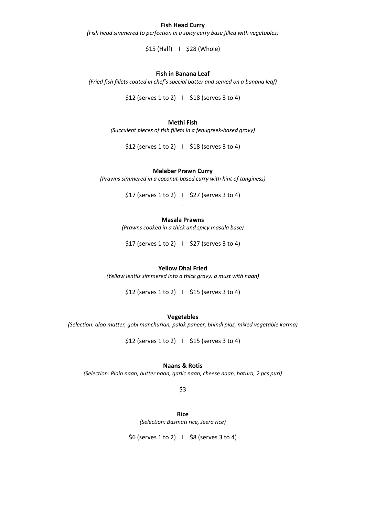### **Fish Head Curry**

*(Fish head simmered to perfection in a spicy curry base filled with vegetables)*

\$15 (Half) I \$28 (Whole)

### **Fish in Banana Leaf**

*(Fried fish fillets coated in chef's special batter and served on a banana leaf)*

\$12 (serves 1 to 2) I \$18 (serves 3 to 4)

### **Methi Fish**

*(Succulent pieces of fish fillets in a fenugreek-based gravy)*

 $$12$  (serves 1 to 2) |  $$18$  (serves 3 to 4)

### **Malabar Prawn Curry**

*(Prawns simmered in a coconut-based curry with hint of tanginess)*

 $$17$  (serves 1 to 2) |  $$27$  (serves 3 to 4) .

### **Masala Prawns**

*(Prawns cooked in a thick and spicy masala base)*

 $$17$  (serves 1 to 2) |  $$27$  (serves 3 to 4)

### **Yellow Dhal Fried**

*(Yellow lentils simmered into a thick gravy, a must with naan)*

\$12 (serves 1 to 2) I \$15 (serves 3 to 4)

**Vegetables**

*(Selection: aloo matter, gobi manchurian, palak paneer, bhindi piaz, mixed vegetable korma)*

 $$12$  (serves 1 to 2) |  $$15$  (serves 3 to 4)

### **Naans & Rotis**

*(Selection: Plain naan, butter naan, garlic naan, cheese naan, batura, 2 pcs puri)*

\$3

**Rice** *(Selection: Basmati rice, Jeera rice)*

\$6 (serves 1 to 2) I \$8 (serves 3 to 4)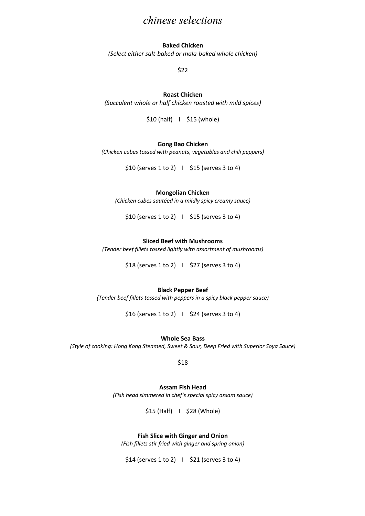## *chinese selections*

### **Baked Chicken**

*(Select either salt-baked or mala-baked whole chicken)*

\$22

### **Roast Chicken**

*(Succulent whole or half chicken roasted with mild spices)*

\$10 (half) I \$15 (whole)

### **Gong Bao Chicken**

*(Chicken cubes tossed with peanuts, vegetables and chili peppers)*

 $$10$  (serves  $1$  to  $2$ )  $\mid$   $$15$  (serves  $3$  to  $4$ )

### **Mongolian Chicken**

*(Chicken cubes sautéed in a mildly spicy creamy sauce)*

 $$10$  (serves 1 to 2) |  $$15$  (serves 3 to 4)

### **Sliced Beef with Mushrooms**

*(Tender beef fillets tossed lightly with assortment of mushrooms)*

\$18 (serves 1 to 2) I \$27 (serves 3 to 4)

### **Black Pepper Beef**

*(Tender beef fillets tossed with peppers in a spicy black pepper sauce)*

 $$16$  (serves 1 to 2) |  $$24$  (serves 3 to 4)

### **Whole Sea Bass**

*(Style of cooking: Hong Kong Steamed, Sweet & Sour, Deep Fried with Superior Soya Sauce)*

\$18

### **Assam Fish Head**

*(Fish head simmered in chef's special spicy assam sauce)*

\$15 (Half) I \$28 (Whole)

### **Fish Slice with Ginger and Onion**

*(Fish fillets stir fried with ginger and spring onion)*

 $$14$  (serves 1 to 2) |  $$21$  (serves 3 to 4)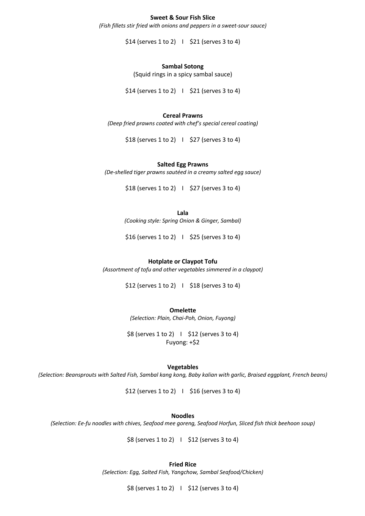### **Sweet & Sour Fish Slice**

*(Fish fillets stir fried with onions and peppers in a sweet-sour sauce)*

 $$14$  (serves 1 to 2)  $\mid$  \$21 (serves 3 to 4)

### **Sambal Sotong**

(Squid rings in a spicy sambal sauce)

 $$14$  (serves 1 to 2) |  $$21$  (serves 3 to 4)

### **Cereal Prawns**

*(Deep fried prawns coated with chef's special cereal coating)*

\$18 (serves 1 to 2) I \$27 (serves 3 to 4)

#### **Salted Egg Prawns**

*(De-shelled tiger prawns sautéed in a creamy salted egg sauce)*

\$18 (serves 1 to 2) I \$27 (serves 3 to 4)

**Lala**

*(Cooking style: Spring Onion & Ginger, Sambal)*

 $$16$  (serves 1 to 2) |  $$25$  (serves 3 to 4)

### **Hotplate or Claypot Tofu**

*(Assortment of tofu and other vegetables simmered in a claypot)*

 $$12$  (serves 1 to 2) |  $$18$  (serves 3 to 4)

### **Omelette**

*(Selection: Plain, Chai-Poh, Onion, Fuyong)*

\$8 (serves 1 to 2) I \$12 (serves 3 to 4) Fuyong: +\$2

#### **Vegetables**

*(Selection: Beansprouts with Salted Fish, Sambal kang kong, Baby kalian with garlic, Braised eggplant, French beans)*

\$12 (serves 1 to 2) I \$16 (serves 3 to 4)

### **Noodles**

*(Selection: Ee-fu noodles with chives, Seafood mee goreng, Seafood Horfun, Sliced fish thick beehoon soup)*

\$8 (serves 1 to 2) I \$12 (serves 3 to 4)

### **Fried Rice**

*(Selection: Egg, Salted Fish, Yangchow, Sambal Seafood/Chicken)*

\$8 (serves 1 to 2) I \$12 (serves 3 to 4)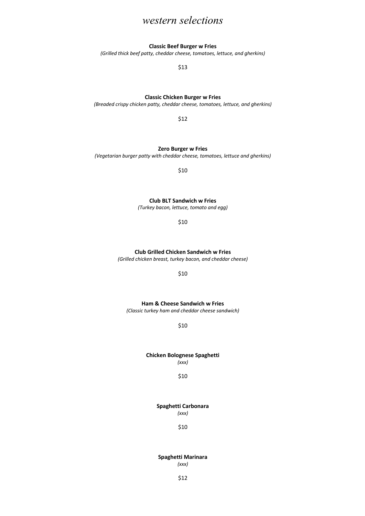## *western selections*

### **Classic Beef Burger w Fries**

*(Grilled thick beef patty, cheddar cheese, tomatoes, lettuce, and gherkins)*

\$13

### **Classic Chicken Burger w Fries**

*(Breaded crispy chicken patty, cheddar cheese, tomatoes, lettuce, and gherkins)*

\$12

### **Zero Burger w Fries**

*(Vegetarian burger patty with cheddar cheese, tomatoes, lettuce and gherkins)*

\$10

**Club BLT Sandwich w Fries**

*(Turkey bacon, lettuce, tomato and egg)*

\$10

### **Club Grilled Chicken Sandwich w Fries**

*(Grilled chicken breast, turkey bacon, and cheddar cheese)*

\$10

### **Ham & Cheese Sandwich w Fries** *(Classic turkey ham and cheddar cheese sandwich)*

\$10

### **Chicken Bolognese Spaghetti**  *(xxx)*

#### \$10

**Spaghetti Carbonara**

*(xxx)*

\$10

### **Spaghetti Marinara** *(xxx)*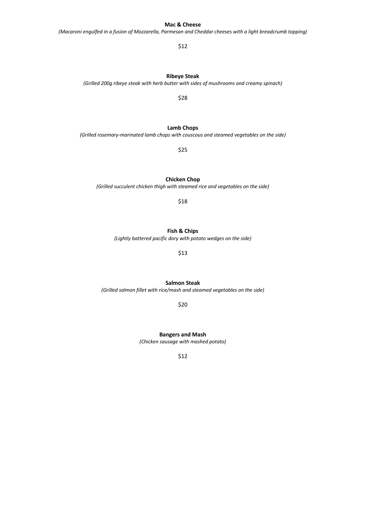### **Mac & Cheese**

*(Macaroni engulfed in a fusion of Mozzarella, Parmesan and Cheddar cheeses with a light breadcrumb topping)*

### \$12

### **Ribeye Steak**

### *(Grilled 200g ribeye steak with herb butter with sides of mushrooms and creamy spinach)*

\$28

**Lamb Chops** *(Grilled rosemary-marinated lamb chops with couscous and steamed vegetables on the side)*

\$25

**Chicken Chop**

*(Grilled succulent chicken thigh with steamed rice and vegetables on the side)*

\$18

### **Fish & Chips**

*(Lightly battered pacific dory with potato wedges on the side)*

\$13

**Salmon Steak**

*(Grilled salmon fillet with rice/mash and steamed vegetables on the side)*

\$20

**Bangers and Mash** *(Chicken sausage with mashed potato)*

\$12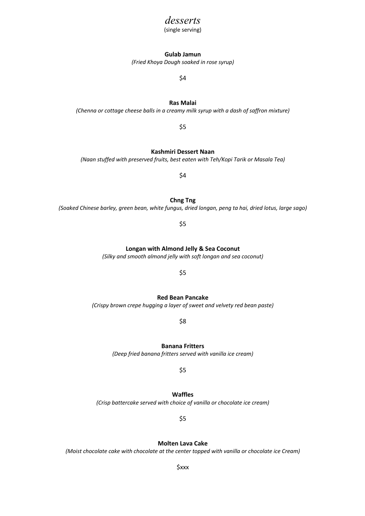### *desserts*

(single serving)

### **Gulab Jamun**

*(Fried Khoya Dough soaked in rose syrup)*

\$4

**Ras Malai**

*(Chenna or cottage cheese balls in a creamy milk syrup with a dash of saffron mixture)*

\$5

**Kashmiri Dessert Naan**

*(Naan stuffed with preserved fruits, best eaten with Teh/Kopi Tarik or Masala Tea)*

\$4

**Chng Tng**

*(Soaked Chinese barley, green bean, white fungus, dried longan, peng ta hai, dried lotus, large sago)*

\$5

**Longan with Almond Jelly & Sea Coconut**

*(Silky and smooth almond jelly with soft longan and sea coconut)*

\$5

**Red Bean Pancake**

*(Crispy brown crepe hugging a layer of sweet and velvety red bean paste)*

\$8

**Banana Fritters**  *(Deep fried banana fritters served with vanilla ice cream)*

\$5

**Waffles** *(Crisp battercake served with choice of vanilla or chocolate ice cream)*

\$5

**Molten Lava Cake**

*(Moist chocolate cake with chocolate at the center topped with vanilla or chocolate ice Cream)*

\$xxx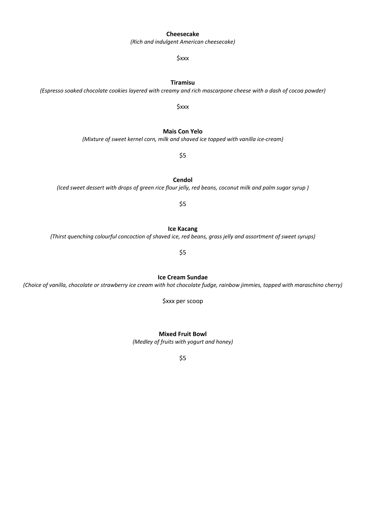### **Cheesecake**

*(Rich and indulgent American cheesecake)*

\$xxx

*(Espresso soaked chocolate cookies layered with creamy and rich mascarpone cheese with a dash of cocoa powder)* \$xxx

**Tiramisu**

*(Mixture of sweet kernel corn, milk and shaved ice topped with vanilla ice-cream)*

\$5

**Cendol** *(Iced sweet dessert with drops of green rice flour jelly, red beans, coconut milk and palm sugar syrup )*

\$5

**Ice Kacang** *(Thirst quenching colourful concoction of shaved ice, red beans, grass jelly and assortment of sweet syrups)*

\$5

**Ice Cream Sundae** *(Choice of vanilla, chocolate or strawberry ice cream with hot chocolate fudge, rainbow jimmies, topped with maraschino cherry)*

\$xxx per scoop

**Mixed Fruit Bowl** *(Medley of fruits with yogurt and honey)*

\$5

### **Mais Con Yelo**